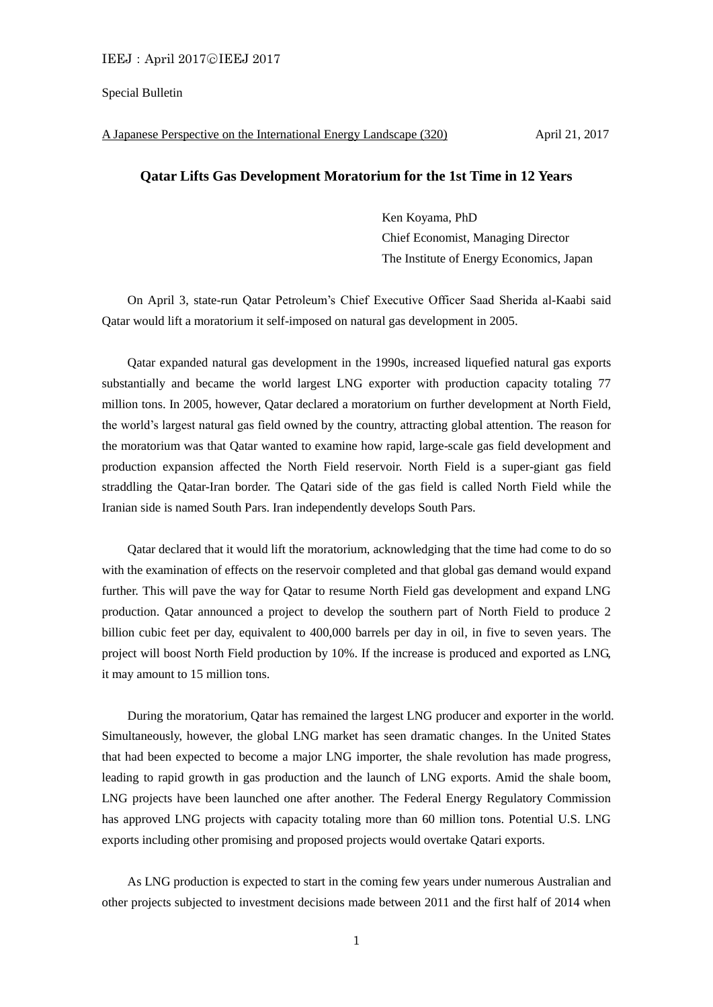### Special Bulletin

#### A Japanese Perspective on the International Energy Landscape (320) April 21, 2017

## **Qatar Lifts Gas Development Moratorium for the 1st Time in 12 Years**

Ken Koyama, PhD Chief Economist, Managing Director The Institute of Energy Economics, Japan

On April 3, state-run Qatar Petroleum's Chief Executive Officer Saad Sherida al-Kaabi said Qatar would lift a moratorium it self-imposed on natural gas development in 2005.

Qatar expanded natural gas development in the 1990s, increased liquefied natural gas exports substantially and became the world largest LNG exporter with production capacity totaling 77 million tons. In 2005, however, Qatar declared a moratorium on further development at North Field, the world's largest natural gas field owned by the country, attracting global attention. The reason for the moratorium was that Qatar wanted to examine how rapid, large-scale gas field development and production expansion affected the North Field reservoir. North Field is a super-giant gas field straddling the Qatar-Iran border. The Qatari side of the gas field is called North Field while the Iranian side is named South Pars. Iran independently develops South Pars.

Qatar declared that it would lift the moratorium, acknowledging that the time had come to do so with the examination of effects on the reservoir completed and that global gas demand would expand further. This will pave the way for Qatar to resume North Field gas development and expand LNG production. Qatar announced a project to develop the southern part of North Field to produce 2 billion cubic feet per day, equivalent to 400,000 barrels per day in oil, in five to seven years. The project will boost North Field production by 10%. If the increase is produced and exported as LNG, it may amount to 15 million tons.

During the moratorium, Qatar has remained the largest LNG producer and exporter in the world. Simultaneously, however, the global LNG market has seen dramatic changes. In the United States that had been expected to become a major LNG importer, the shale revolution has made progress, leading to rapid growth in gas production and the launch of LNG exports. Amid the shale boom, LNG projects have been launched one after another. The Federal Energy Regulatory Commission has approved LNG projects with capacity totaling more than 60 million tons. Potential U.S. LNG exports including other promising and proposed projects would overtake Qatari exports.

As LNG production is expected to start in the coming few years under numerous Australian and other projects subjected to investment decisions made between 2011 and the first half of 2014 when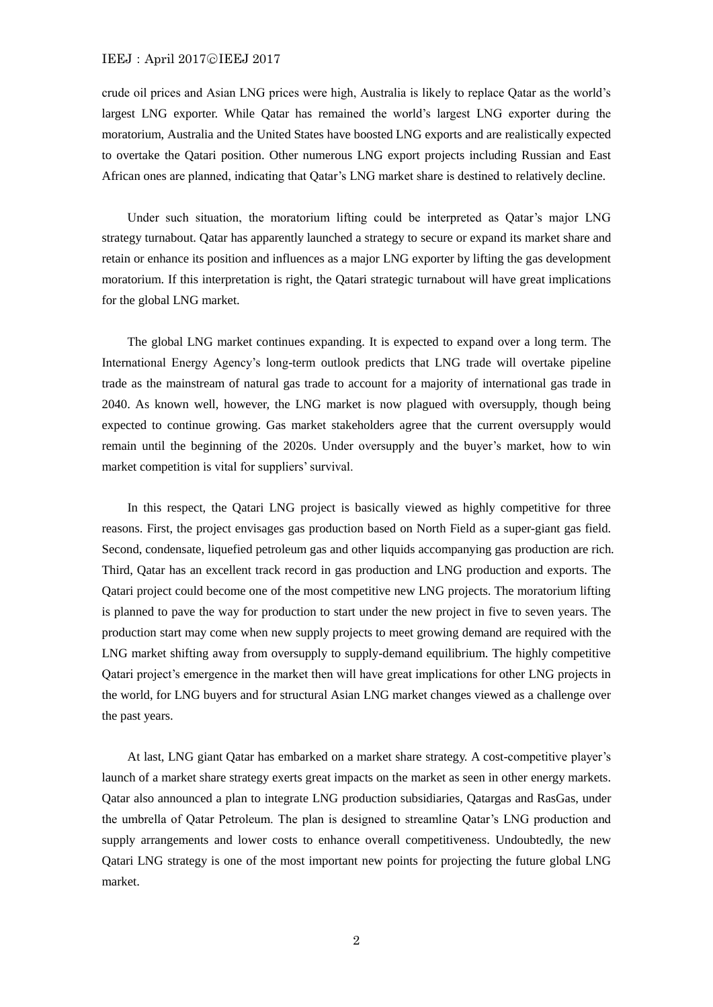### IEEJ: April 2017⊙IEEJ 2017

crude oil prices and Asian LNG prices were high, Australia is likely to replace Qatar as the world's largest LNG exporter. While Qatar has remained the world's largest LNG exporter during the moratorium, Australia and the United States have boosted LNG exports and are realistically expected to overtake the Qatari position. Other numerous LNG export projects including Russian and East African ones are planned, indicating that Qatar's LNG market share is destined to relatively decline.

Under such situation, the moratorium lifting could be interpreted as Qatar's major LNG strategy turnabout. Qatar has apparently launched a strategy to secure or expand its market share and retain or enhance its position and influences as a major LNG exporter by lifting the gas development moratorium. If this interpretation is right, the Qatari strategic turnabout will have great implications for the global LNG market.

The global LNG market continues expanding. It is expected to expand over a long term. The International Energy Agency's long-term outlook predicts that LNG trade will overtake pipeline trade as the mainstream of natural gas trade to account for a majority of international gas trade in 2040. As known well, however, the LNG market is now plagued with oversupply, though being expected to continue growing. Gas market stakeholders agree that the current oversupply would remain until the beginning of the 2020s. Under oversupply and the buyer's market, how to win market competition is vital for suppliers' survival.

In this respect, the Qatari LNG project is basically viewed as highly competitive for three reasons. First, the project envisages gas production based on North Field as a super-giant gas field. Second, condensate, liquefied petroleum gas and other liquids accompanying gas production are rich. Third, Qatar has an excellent track record in gas production and LNG production and exports. The Qatari project could become one of the most competitive new LNG projects. The moratorium lifting is planned to pave the way for production to start under the new project in five to seven years. The production start may come when new supply projects to meet growing demand are required with the LNG market shifting away from oversupply to supply-demand equilibrium. The highly competitive Qatari project's emergence in the market then will have great implications for other LNG projects in the world, for LNG buyers and for structural Asian LNG market changes viewed as a challenge over the past years.

At last, LNG giant Qatar has embarked on a market share strategy. A cost-competitive player's launch of a market share strategy exerts great impacts on the market as seen in other energy markets. Qatar also announced a plan to integrate LNG production subsidiaries, Qatargas and RasGas, under the umbrella of Qatar Petroleum. The plan is designed to streamline Qatar's LNG production and supply arrangements and lower costs to enhance overall competitiveness. Undoubtedly, the new Qatari LNG strategy is one of the most important new points for projecting the future global LNG market.